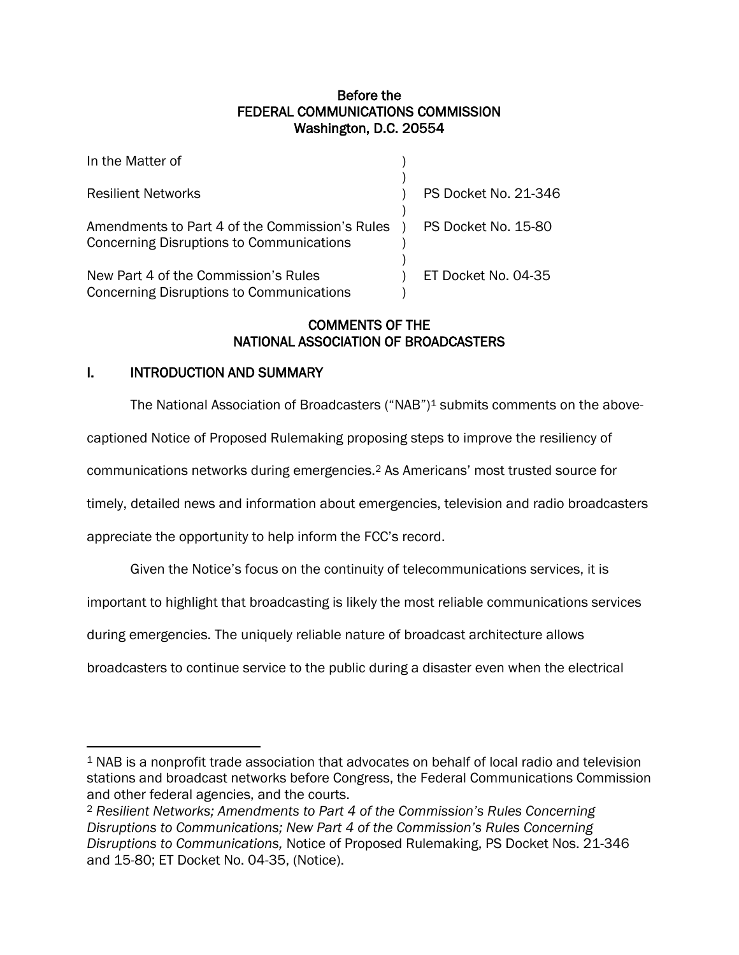### Before the FEDERAL COMMUNICATIONS COMMISSION Washington, D.C. 20554

| In the Matter of                                                                                  |                      |
|---------------------------------------------------------------------------------------------------|----------------------|
| <b>Resilient Networks</b>                                                                         | PS Docket No. 21-346 |
| Amendments to Part 4 of the Commission's Rules<br><b>Concerning Disruptions to Communications</b> | PS Docket No. 15-80  |
| New Part 4 of the Commission's Rules<br>Concerning Disruptions to Communications                  | ET Docket No. 04-35  |

## COMMENTS OF THE NATIONAL ASSOCIATION OF BROADCASTERS

### I. INTRODUCTION AND SUMMARY

The National Association of Broadcasters ("NAB")<sup>1</sup> submits comments on the above-

captioned Notice of Proposed Rulemaking proposing steps to improve the resiliency of

communications networks during emergencies.<sup>2</sup> As Americans' most trusted source for

timely, detailed news and information about emergencies, television and radio broadcasters

appreciate the opportunity to help inform the FCC's record.

Given the Notice's focus on the continuity of telecommunications services, it is

important to highlight that broadcasting is likely the most reliable communications services

during emergencies. The uniquely reliable nature of broadcast architecture allows

broadcasters to continue service to the public during a disaster even when the electrical

<sup>1</sup> NAB is a nonprofit trade association that advocates on behalf of local radio and television stations and broadcast networks before Congress, the Federal Communications Commission and other federal agencies, and the courts.

<sup>2</sup> *Resilient Networks; Amendments to Part 4 of the Commission's Rules Concerning Disruptions to Communications; New Part 4 of the Commission's Rules Concerning Disruptions to Communications,* Notice of Proposed Rulemaking, PS Docket Nos. 21-346 and 15-80; ET Docket No. 04-35, (Notice).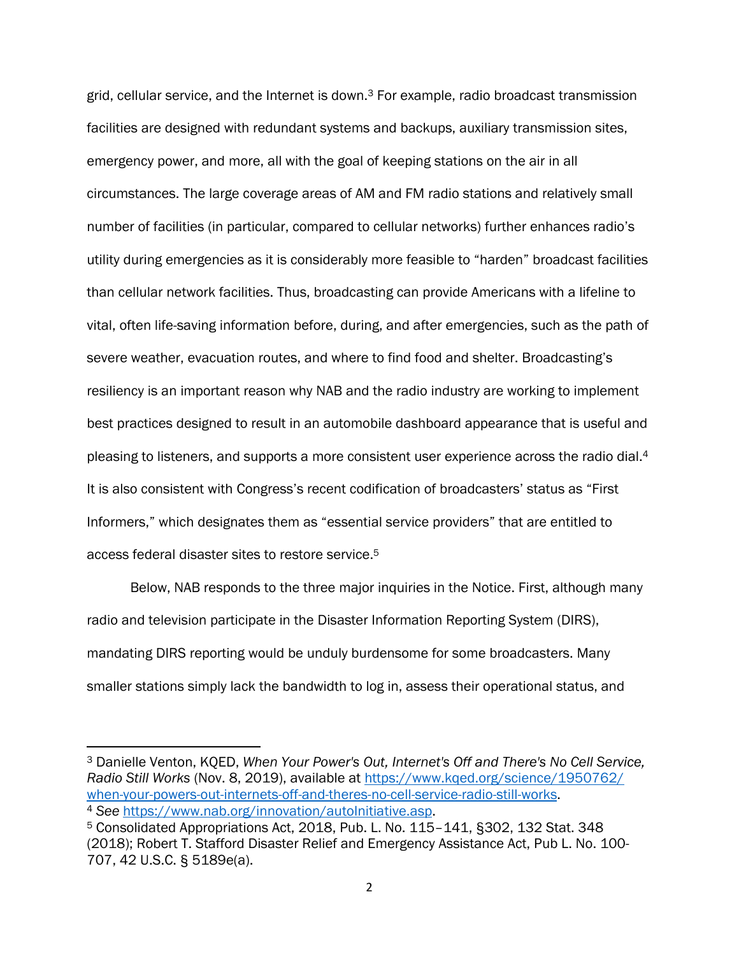grid, cellular service, and the Internet is down. $3$  For example, radio broadcast transmission facilities are designed with redundant systems and backups, auxiliary transmission sites, emergency power, and more, all with the goal of keeping stations on the air in all circumstances. The large coverage areas of AM and FM radio stations and relatively small number of facilities (in particular, compared to cellular networks) further enhances radio's utility during emergencies as it is considerably more feasible to "harden" broadcast facilities than cellular network facilities. Thus, broadcasting can provide Americans with a lifeline to vital, often life-saving information before, during, and after emergencies, such as the path of severe weather, evacuation routes, and where to find food and shelter. Broadcasting's resiliency is an important reason why NAB and the radio industry are working to implement best practices designed to result in an automobile dashboard appearance that is useful and pleasing to listeners, and supports a more consistent user experience across the radio dial.<sup>4</sup> It is also consistent with Congress's recent codification of broadcasters' status as "First Informers," which designates them as "essential service providers" that are entitled to access federal disaster sites to restore service.<sup>5</sup>

Below, NAB responds to the three major inquiries in the Notice. First, although many radio and television participate in the Disaster Information Reporting System (DIRS), mandating DIRS reporting would be unduly burdensome for some broadcasters. Many smaller stations simply lack the bandwidth to log in, assess their operational status, and

<sup>3</sup> Danielle Venton, KQED, *When Your Power's Out, Internet's Off and There's No Cell Service, Radio Still Works* (Nov. 8, 2019), available at [https://www.kqed.org/science/1950762/](https://www.kqed.org/science/1950762/%20when-your-powers-out-internets-off-and-theres-no-cell-service-radio-still-works)  [when-your-powers-out-internets-off-and-theres-no-cell-service-radio-still-works.](https://www.kqed.org/science/1950762/%20when-your-powers-out-internets-off-and-theres-no-cell-service-radio-still-works) <sup>4</sup> *See* [https://www.nab.org/innovation/autoInitiative.asp.](https://www.nab.org/innovation/autoInitiative.asp)

<sup>5</sup> Consolidated Appropriations Act, 2018, Pub. L. No. 115–141, §302, 132 Stat. 348 (2018); Robert T. Stafford Disaster Relief and Emergency Assistance Act, Pub L. No. 100- 707, 42 U.S.C. § 5189e(a).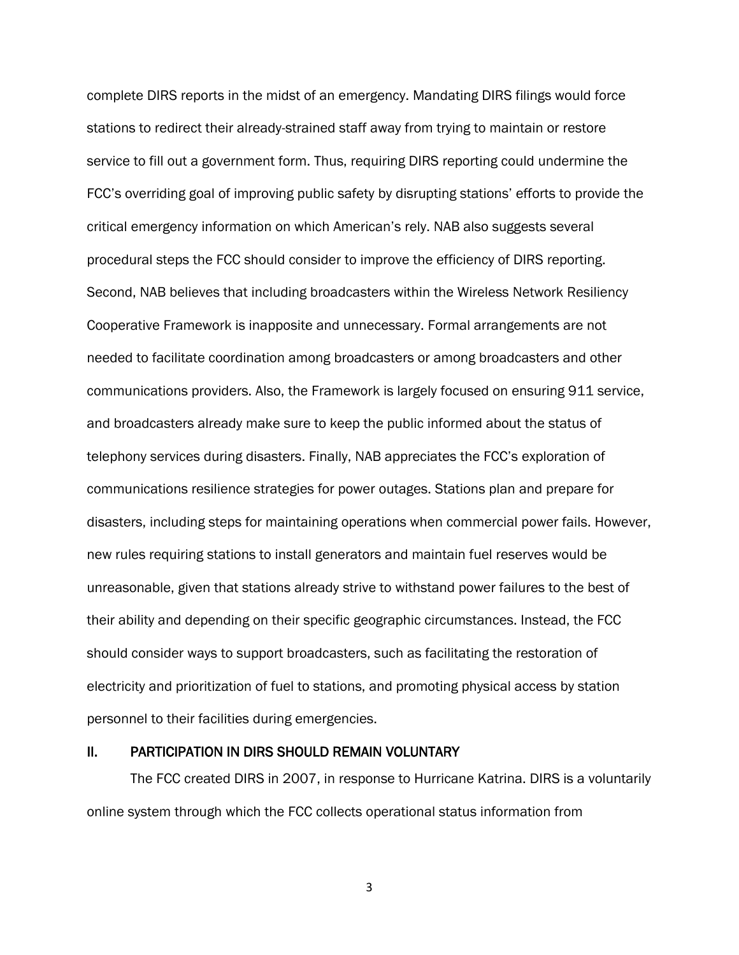complete DIRS reports in the midst of an emergency. Mandating DIRS filings would force stations to redirect their already-strained staff away from trying to maintain or restore service to fill out a government form. Thus, requiring DIRS reporting could undermine the FCC's overriding goal of improving public safety by disrupting stations' efforts to provide the critical emergency information on which American's rely. NAB also suggests several procedural steps the FCC should consider to improve the efficiency of DIRS reporting. Second, NAB believes that including broadcasters within the Wireless Network Resiliency Cooperative Framework is inapposite and unnecessary. Formal arrangements are not needed to facilitate coordination among broadcasters or among broadcasters and other communications providers. Also, the Framework is largely focused on ensuring 911 service, and broadcasters already make sure to keep the public informed about the status of telephony services during disasters. Finally, NAB appreciates the FCC's exploration of communications resilience strategies for power outages. Stations plan and prepare for disasters, including steps for maintaining operations when commercial power fails. However, new rules requiring stations to install generators and maintain fuel reserves would be unreasonable, given that stations already strive to withstand power failures to the best of their ability and depending on their specific geographic circumstances. Instead, the FCC should consider ways to support broadcasters, such as facilitating the restoration of electricity and prioritization of fuel to stations, and promoting physical access by station personnel to their facilities during emergencies.

### II. PARTICIPATION IN DIRS SHOULD REMAIN VOLUNTARY

The FCC created DIRS in 2007, in response to Hurricane Katrina. DIRS is a voluntarily online system through which the FCC collects operational status information from

3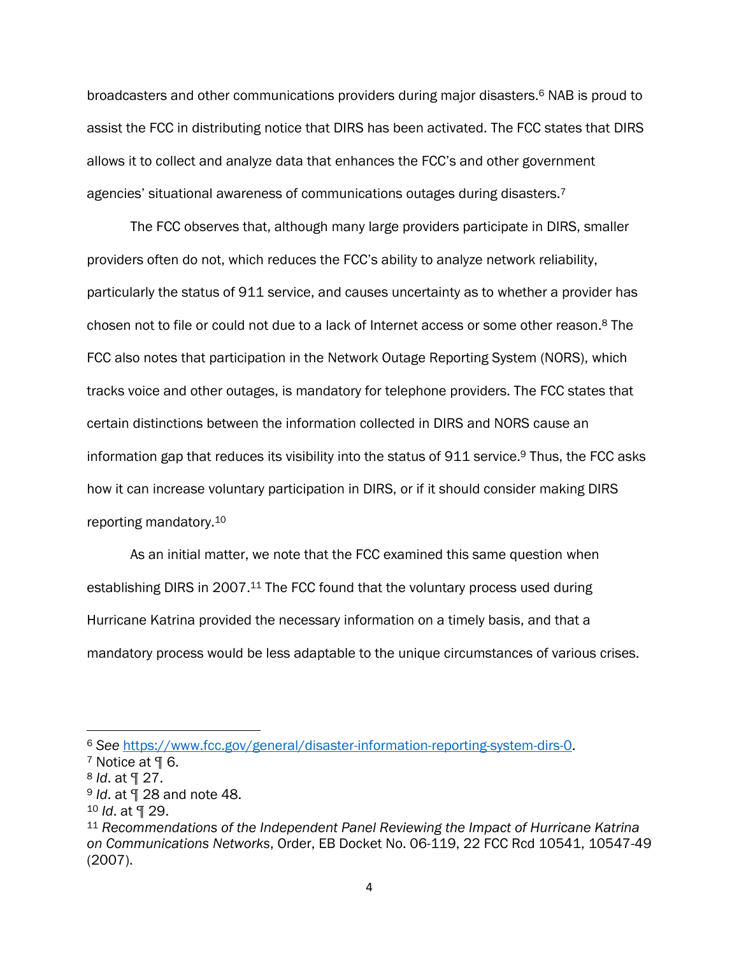broadcasters and other communications providers during major disasters. <sup>6</sup> NAB is proud to assist the FCC in distributing notice that DIRS has been activated. The FCC states that DIRS allows it to collect and analyze data that enhances the FCC's and other government agencies' situational awareness of communications outages during disasters.<sup>7</sup>

The FCC observes that, although many large providers participate in DIRS, smaller providers often do not, which reduces the FCC's ability to analyze network reliability, particularly the status of 911 service, and causes uncertainty as to whether a provider has chosen not to file or could not due to a lack of Internet access or some other reason.<sup>8</sup> The FCC also notes that participation in the Network Outage Reporting System (NORS), which tracks voice and other outages, is mandatory for telephone providers. The FCC states that certain distinctions between the information collected in DIRS and NORS cause an information gap that reduces its visibility into the status of 911 service.<sup>9</sup> Thus, the FCC asks how it can increase voluntary participation in DIRS, or if it should consider making DIRS reporting mandatory.<sup>10</sup>

As an initial matter, we note that the FCC examined this same question when establishing DIRS in 2007.<sup>11</sup> The FCC found that the voluntary process used during Hurricane Katrina provided the necessary information on a timely basis, and that a mandatory process would be less adaptable to the unique circumstances of various crises.

<sup>6</sup> *See* [https://www.fcc.gov/general/disaster-information-reporting-system-dirs-0.](https://www.fcc.gov/general/disaster-information-reporting-system-dirs-0)

 $7$  Notice at  $9$  6.

<sup>8</sup> *Id*. at ¶ 27.

<sup>9</sup> *Id*. at ¶ 28 and note 48.

<sup>10</sup> *Id*. at ¶ 29.

<sup>11</sup> *Recommendations of the Independent Panel Reviewing the Impact of Hurricane Katrina on Communications Networks*, Order, EB Docket No. 06-119, 22 FCC Rcd 10541, 10547-49 (2007).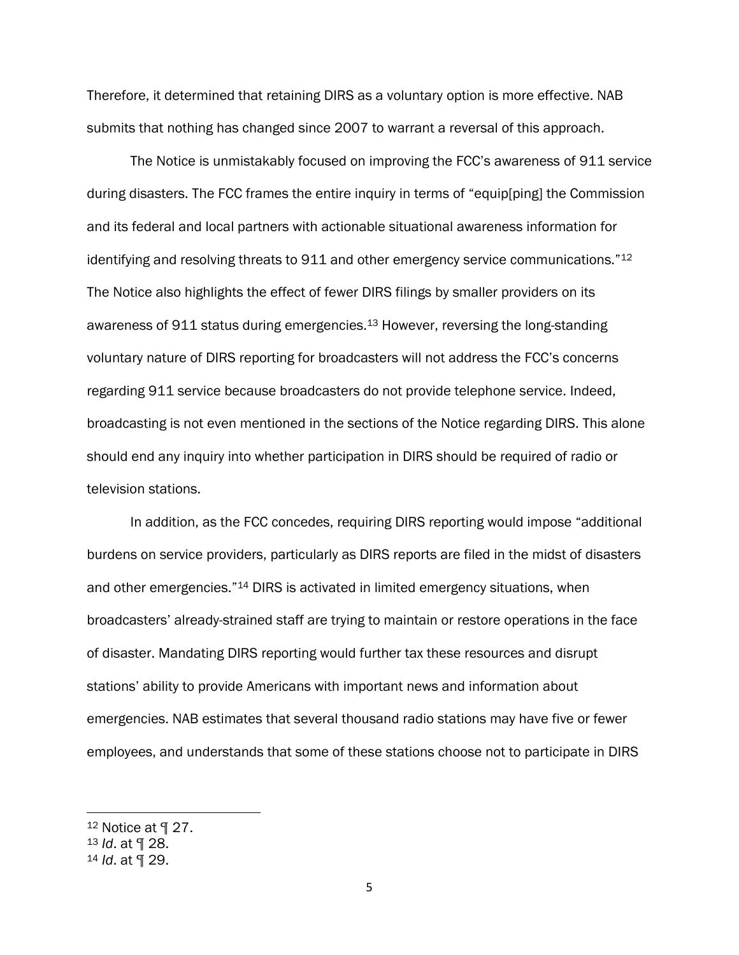Therefore, it determined that retaining DIRS as a voluntary option is more effective. NAB submits that nothing has changed since 2007 to warrant a reversal of this approach.

The Notice is unmistakably focused on improving the FCC's awareness of 911 service during disasters. The FCC frames the entire inquiry in terms of "equip[ping] the Commission and its federal and local partners with actionable situational awareness information for identifying and resolving threats to 911 and other emergency service communications."<sup>12</sup> The Notice also highlights the effect of fewer DIRS filings by smaller providers on its awareness of 911 status during emergencies.<sup>13</sup> However, reversing the long-standing voluntary nature of DIRS reporting for broadcasters will not address the FCC's concerns regarding 911 service because broadcasters do not provide telephone service. Indeed, broadcasting is not even mentioned in the sections of the Notice regarding DIRS. This alone should end any inquiry into whether participation in DIRS should be required of radio or television stations.

In addition, as the FCC concedes, requiring DIRS reporting would impose "additional burdens on service providers, particularly as DIRS reports are filed in the midst of disasters and other emergencies."<sup>14</sup> DIRS is activated in limited emergency situations, when broadcasters' already-strained staff are trying to maintain or restore operations in the face of disaster. Mandating DIRS reporting would further tax these resources and disrupt stations' ability to provide Americans with important news and information about emergencies. NAB estimates that several thousand radio stations may have five or fewer employees, and understands that some of these stations choose not to participate in DIRS

<sup>12</sup> Notice at ¶ 27.

<sup>13</sup> *Id*. at ¶ 28.

<sup>14</sup> *Id*. at ¶ 29.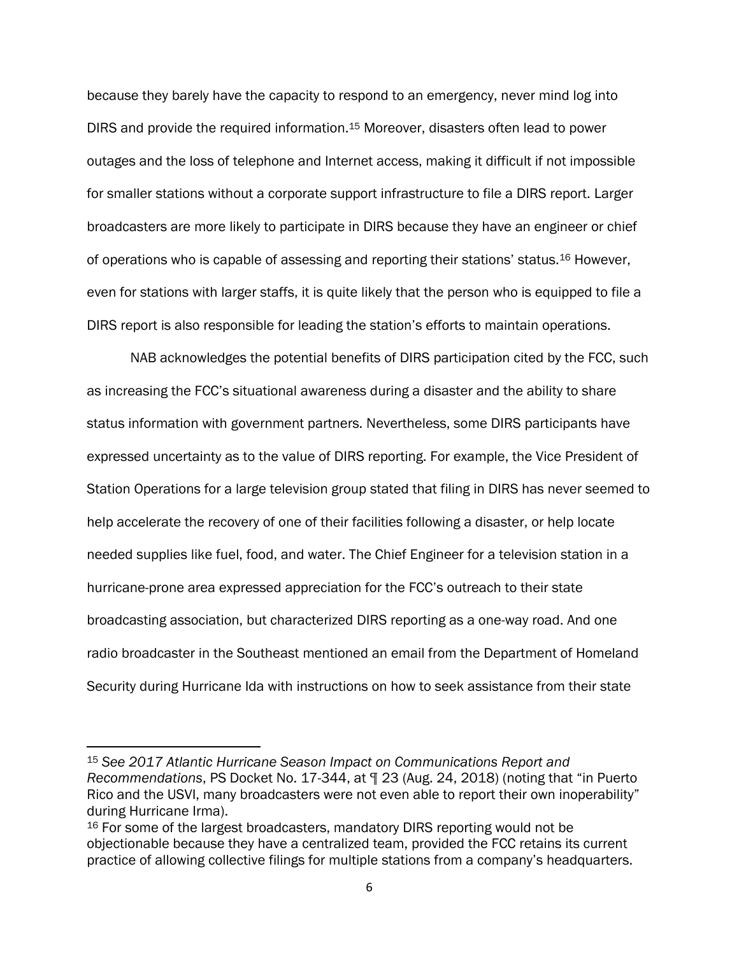because they barely have the capacity to respond to an emergency, never mind log into DIRS and provide the required information.<sup>15</sup> Moreover, disasters often lead to power outages and the loss of telephone and Internet access, making it difficult if not impossible for smaller stations without a corporate support infrastructure to file a DIRS report. Larger broadcasters are more likely to participate in DIRS because they have an engineer or chief of operations who is capable of assessing and reporting their stations' status.<sup>16</sup> However, even for stations with larger staffs, it is quite likely that the person who is equipped to file a DIRS report is also responsible for leading the station's efforts to maintain operations.

NAB acknowledges the potential benefits of DIRS participation cited by the FCC, such as increasing the FCC's situational awareness during a disaster and the ability to share status information with government partners. Nevertheless, some DIRS participants have expressed uncertainty as to the value of DIRS reporting. For example, the Vice President of Station Operations for a large television group stated that filing in DIRS has never seemed to help accelerate the recovery of one of their facilities following a disaster, or help locate needed supplies like fuel, food, and water. The Chief Engineer for a television station in a hurricane-prone area expressed appreciation for the FCC's outreach to their state broadcasting association, but characterized DIRS reporting as a one-way road. And one radio broadcaster in the Southeast mentioned an email from the Department of Homeland Security during Hurricane Ida with instructions on how to seek assistance from their state

<sup>15</sup> *See 2017 Atlantic Hurricane Season Impact on Communications Report and Recommendations*, PS Docket No. 17-344, at ¶ 23 (Aug. 24, 2018) (noting that "in Puerto Rico and the USVI, many broadcasters were not even able to report their own inoperability" during Hurricane Irma).

<sup>16</sup> For some of the largest broadcasters, mandatory DIRS reporting would not be objectionable because they have a centralized team, provided the FCC retains its current practice of allowing collective filings for multiple stations from a company's headquarters.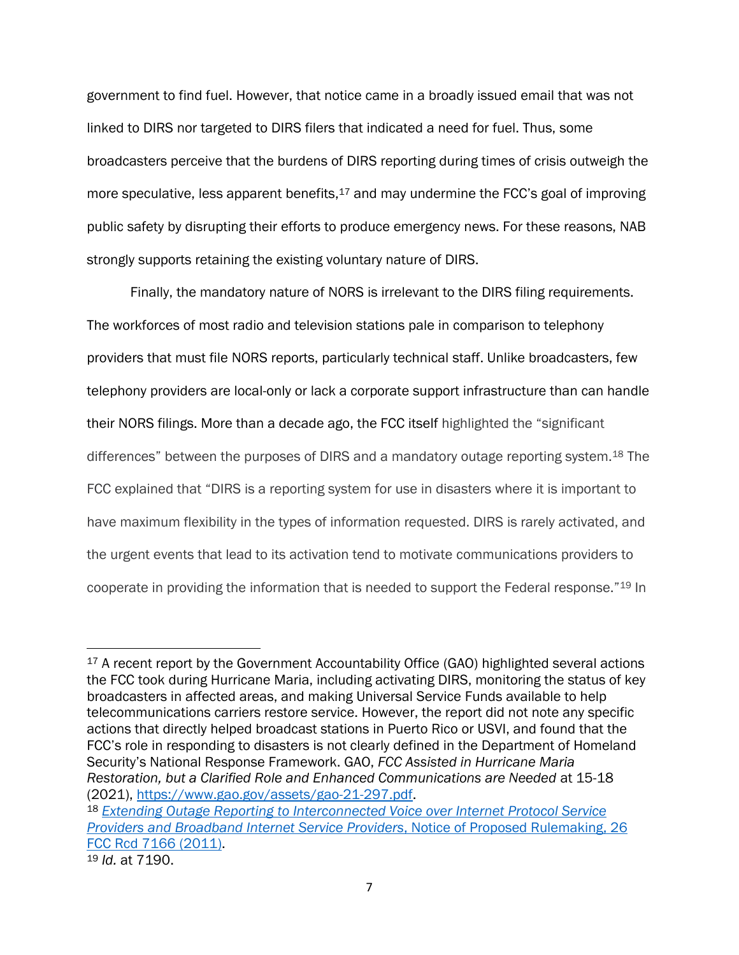government to find fuel. However, that notice came in a broadly issued email that was not linked to DIRS nor targeted to DIRS filers that indicated a need for fuel. Thus, some broadcasters perceive that the burdens of DIRS reporting during times of crisis outweigh the more speculative, less apparent benefits,<sup>17</sup> and may undermine the FCC's goal of improving public safety by disrupting their efforts to produce emergency news. For these reasons, NAB strongly supports retaining the existing voluntary nature of DIRS.

Finally, the mandatory nature of NORS is irrelevant to the DIRS filing requirements. The workforces of most radio and television stations pale in comparison to telephony providers that must file NORS reports, particularly technical staff. Unlike broadcasters, few telephony providers are local-only or lack a corporate support infrastructure than can handle their NORS filings. More than a decade ago, the FCC itself highlighted the "significant differences" between the purposes of DIRS and a mandatory outage reporting system.<sup>18</sup> The FCC explained that "DIRS is a reporting system for use in disasters where it is important to have maximum flexibility in the types of information requested. DIRS is rarely activated, and the urgent events that lead to its activation tend to motivate communications providers to cooperate in providing the information that is needed to support the Federal response."<sup>19</sup> In

<sup>18</sup> *Extending Outage Reporting to [Interconnected](https://advance.lexis.com/api/document/collection/administrative-materials/id/52W6-3T10-01KR-92SK-00000-00?page=7189&reporter=2124&cite=%2026%20FCC%20Rcd%207166&context=1000516) Voice over Internet Protocol Service Providers and Broadband Internet Service Providers*, Notice of Proposed [Rulemaking,](https://advance.lexis.com/api/document/collection/administrative-materials/id/52W6-3T10-01KR-92SK-00000-00?page=7189&reporter=2124&cite=%2026%20FCC%20Rcd%207166&context=1000516) 26 FCC Rcd 7166 [\(2011\).](https://advance.lexis.com/api/document/collection/administrative-materials/id/52W6-3T10-01KR-92SK-00000-00?page=7189&reporter=2124&cite=%2026%20FCC%20Rcd%207166&context=1000516)

<sup>&</sup>lt;sup>17</sup> A recent report by the Government Accountability Office (GAO) highlighted several actions the FCC took during Hurricane Maria, including activating DIRS, monitoring the status of key broadcasters in affected areas, and making Universal Service Funds available to help telecommunications carriers restore service. However, the report did not note any specific actions that directly helped broadcast stations in Puerto Rico or USVI, and found that the FCC's role in responding to disasters is not clearly defined in the Department of Homeland Security's National Response Framework. GAO, *FCC Assisted in Hurricane Maria Restoration, but a Clarified Role and Enhanced Communications are Needed* at 15-18 (2021), [https://www.gao.gov/assets/gao-21-297.pdf.](https://www.gao.gov/assets/gao-21-297.pdf%20(2021)

<sup>19</sup> *Id.* at 7190.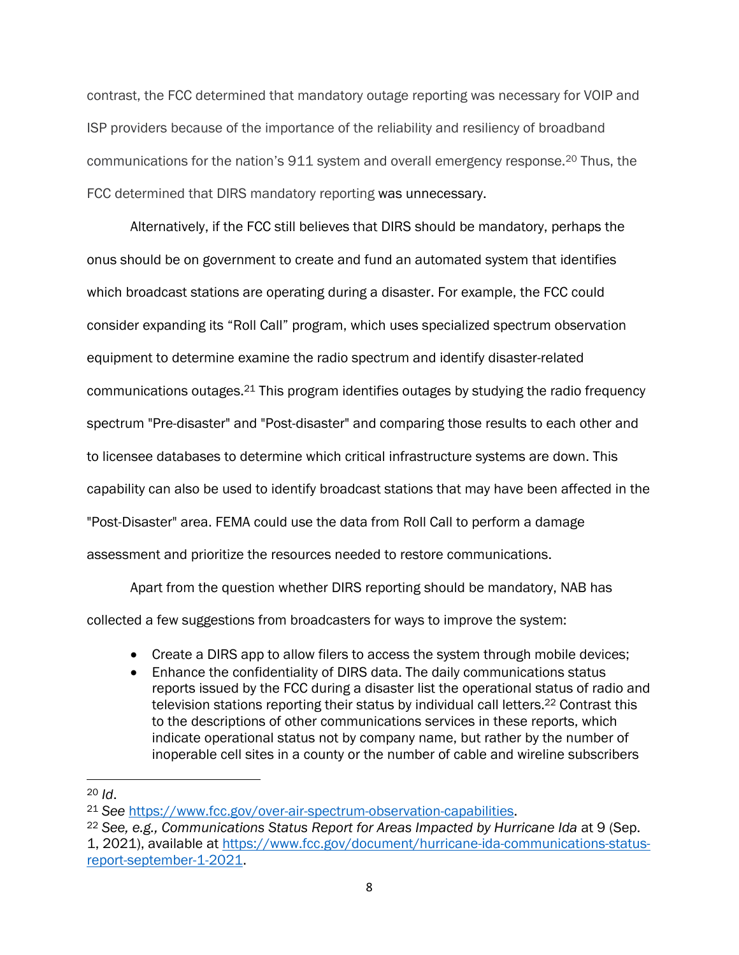contrast, the FCC determined that mandatory outage reporting was necessary for VOIP and ISP providers because of the importance of the reliability and resiliency of broadband communications for the nation's 911 system and overall emergency response.<sup>20</sup> Thus, the FCC determined that DIRS mandatory reporting was unnecessary.

Alternatively, if the FCC still believes that DIRS should be mandatory, perhaps the onus should be on government to create and fund an automated system that identifies which broadcast stations are operating during a disaster. For example, the FCC could consider expanding its "Roll Call" program, which uses specialized spectrum observation equipment to determine examine the radio spectrum and identify disaster-related communications outages.<sup>21</sup> This program identifies outages by studying the radio frequency spectrum "Pre-disaster" and "Post-disaster" and comparing those results to each other and to licensee databases to determine which critical infrastructure systems are down. This capability can also be used to identify broadcast stations that may have been affected in the "Post-Disaster" area. FEMA could use the data from Roll Call to perform a damage assessment and prioritize the resources needed to restore communications.

Apart from the question whether DIRS reporting should be mandatory, NAB has collected a few suggestions from broadcasters for ways to improve the system:

- Create a DIRS app to allow filers to access the system through mobile devices;
- Enhance the confidentiality of DIRS data. The daily communications status reports issued by the FCC during a disaster list the operational status of radio and television stations reporting their status by individual call letters.<sup>22</sup> Contrast this to the descriptions of other communications services in these reports, which indicate operational status not by company name, but rather by the number of inoperable cell sites in a county or the number of cable and wireline subscribers

<sup>20</sup> *Id*.

<sup>21</sup> *See* [https://www.fcc.gov/over-air-spectrum-observation-capabilities.](https://www.fcc.gov/over-air-spectrum-observation-capabilities)

<sup>22</sup> *See, e.g., Communications Status Report for Areas Impacted by Hurricane Ida* at 9 (Sep.

<sup>1, 2021),</sup> available at [https://www.fcc.gov/document/hurricane-ida-communications-status](https://www.fcc.gov/document/hurricane-ida-communications-status-report-september-1-2021)[report-september-1-2021.](https://www.fcc.gov/document/hurricane-ida-communications-status-report-september-1-2021)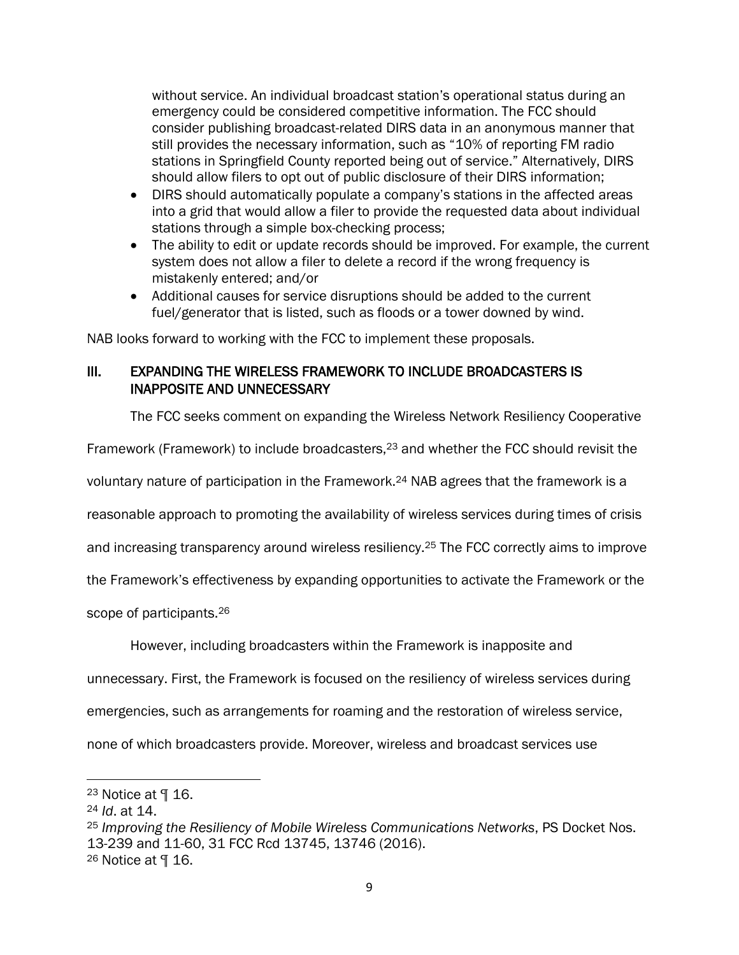without service. An individual broadcast station's operational status during an emergency could be considered competitive information. The FCC should consider publishing broadcast-related DIRS data in an anonymous manner that still provides the necessary information, such as "10% of reporting FM radio stations in Springfield County reported being out of service." Alternatively, DIRS should allow filers to opt out of public disclosure of their DIRS information;

- DIRS should automatically populate a company's stations in the affected areas into a grid that would allow a filer to provide the requested data about individual stations through a simple box-checking process;
- The ability to edit or update records should be improved. For example, the current system does not allow a filer to delete a record if the wrong frequency is mistakenly entered; and/or
- Additional causes for service disruptions should be added to the current fuel/generator that is listed, such as floods or a tower downed by wind.

NAB looks forward to working with the FCC to implement these proposals.

### III. EXPANDING THE WIRELESS FRAMEWORK TO INCLUDE BROADCASTERS IS INAPPOSITE AND UNNECESSARY

The FCC seeks comment on expanding the Wireless Network Resiliency Cooperative

Framework (Framework) to include broadcasters,<sup>23</sup> and whether the FCC should revisit the

voluntary nature of participation in the Framework.<sup>24</sup> NAB agrees that the framework is a

reasonable approach to promoting the availability of wireless services during times of crisis

and increasing transparency around wireless resiliency.<sup>25</sup> The FCC correctly aims to improve

the Framework's effectiveness by expanding opportunities to activate the Framework or the

scope of participants.<sup>26</sup>

However, including broadcasters within the Framework is inapposite and

unnecessary. First, the Framework is focused on the resiliency of wireless services during

emergencies, such as arrangements for roaming and the restoration of wireless service,

none of which broadcasters provide. Moreover, wireless and broadcast services use

 $23$  Notice at  $\P$  16.

<sup>24</sup> *Id*. at 14.

<sup>25</sup> *Improving the Resiliency of Mobile Wireless Communications Networks*, PS Docket Nos. 13-239 and 11-60, 31 FCC Rcd 13745, 13746 (2016).

 $26$  Notice at  $\P$  16.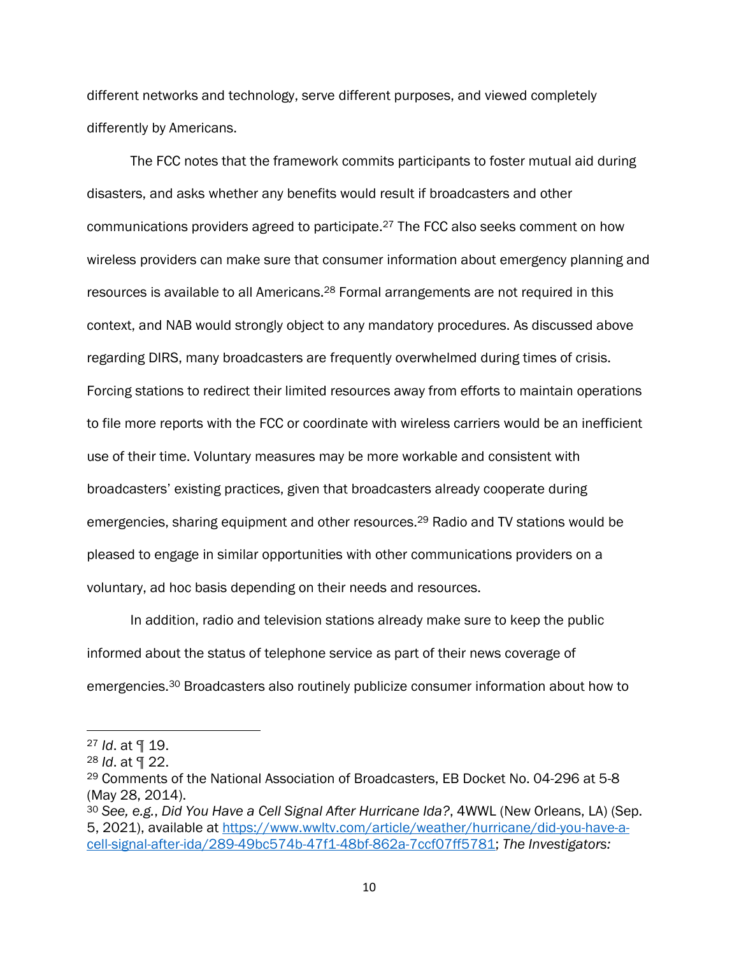different networks and technology, serve different purposes, and viewed completely differently by Americans.

The FCC notes that the framework commits participants to foster mutual aid during disasters, and asks whether any benefits would result if broadcasters and other communications providers agreed to participate.<sup>27</sup> The FCC also seeks comment on how wireless providers can make sure that consumer information about emergency planning and resources is available to all Americans.<sup>28</sup> Formal arrangements are not required in this context, and NAB would strongly object to any mandatory procedures. As discussed above regarding DIRS, many broadcasters are frequently overwhelmed during times of crisis. Forcing stations to redirect their limited resources away from efforts to maintain operations to file more reports with the FCC or coordinate with wireless carriers would be an inefficient use of their time. Voluntary measures may be more workable and consistent with broadcasters' existing practices, given that broadcasters already cooperate during emergencies, sharing equipment and other resources.<sup>29</sup> Radio and TV stations would be pleased to engage in similar opportunities with other communications providers on a voluntary, ad hoc basis depending on their needs and resources.

In addition, radio and television stations already make sure to keep the public informed about the status of telephone service as part of their news coverage of emergencies.<sup>30</sup> Broadcasters also routinely publicize consumer information about how to

<sup>27</sup> *Id*. at ¶ 19.

<sup>28</sup> *Id*. at ¶ 22.

<sup>29</sup> Comments of the National Association of Broadcasters, EB Docket No. 04-296 at 5-8 (May 28, 2014).

<sup>30</sup> *See, e.g.*, *Did You Have a Cell Signal After Hurricane Ida?*, 4WWL (New Orleans, LA) (Sep. 5, 2021), available at [https://www.wwltv.com/article/weather/hurricane/did-you-have-a](https://www.wwltv.com/article/weather/hurricane/did-you-have-a-cell-signal-after-ida/289-49bc574b-47f1-48bf-862a-7ccf07ff5781)[cell-signal-after-ida/289-49bc574b-47f1-48bf-862a-7ccf07ff5781;](https://www.wwltv.com/article/weather/hurricane/did-you-have-a-cell-signal-after-ida/289-49bc574b-47f1-48bf-862a-7ccf07ff5781) *The Investigators:*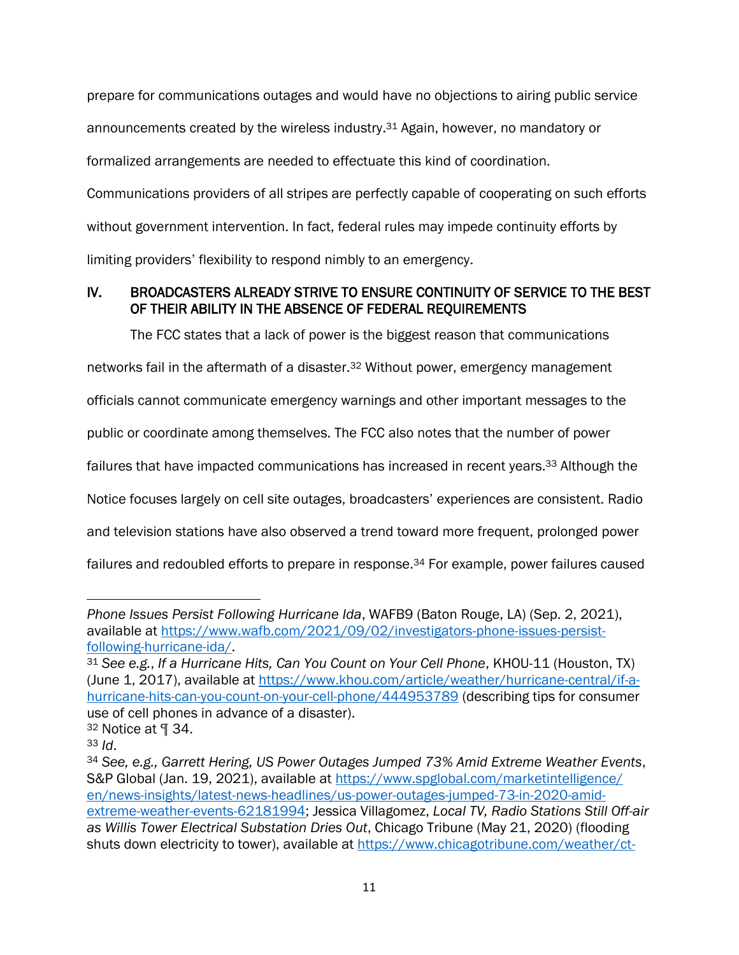prepare for communications outages and would have no objections to airing public service announcements created by the wireless industry.<sup>31</sup> Again, however, no mandatory or formalized arrangements are needed to effectuate this kind of coordination. Communications providers of all stripes are perfectly capable of cooperating on such efforts without government intervention. In fact, federal rules may impede continuity efforts by limiting providers' flexibility to respond nimbly to an emergency.

# IV. BROADCASTERS ALREADY STRIVE TO ENSURE CONTINUITY OF SERVICE TO THE BEST OF THEIR ABILITY IN THE ABSENCE OF FEDERAL REQUIREMENTS

The FCC states that a lack of power is the biggest reason that communications

networks fail in the aftermath of a disaster.<sup>32</sup> Without power, emergency management

officials cannot communicate emergency warnings and other important messages to the

public or coordinate among themselves. The FCC also notes that the number of power

failures that have impacted communications has increased in recent years.<sup>33</sup> Although the

Notice focuses largely on cell site outages, broadcasters' experiences are consistent. Radio

and television stations have also observed a trend toward more frequent, prolonged power

failures and redoubled efforts to prepare in response.<sup>34</sup> For example, power failures caused

*Phone Issues Persist Following Hurricane Ida*, WAFB9 (Baton Rouge, LA) (Sep. 2, 2021), available at [https://www.wafb.com/2021/09/02/investigators-phone-issues-persist](https://www.wafb.com/2021/09/02/investigators-phone-issues-persist-following-hurricane-ida/)[following-hurricane-ida/.](https://www.wafb.com/2021/09/02/investigators-phone-issues-persist-following-hurricane-ida/)

<sup>31</sup> *See e.g.*, *If a Hurricane Hits, Can You Count on Your Cell Phone*, KHOU-11 (Houston, TX) (June 1, 2017), available at [https://www.khou.com/article/weather/hurricane-central/if-a](https://www.khou.com/article/weather/hurricane-central/if-a-hurricane-hits-can-you-count-on-your-cell-phone/444953789)[hurricane-hits-can-you-count-on-your-cell-phone/444953789](https://www.khou.com/article/weather/hurricane-central/if-a-hurricane-hits-can-you-count-on-your-cell-phone/444953789) (describing tips for consumer use of cell phones in advance of a disaster).

<sup>32</sup> Notice at ¶ 34.

<sup>33</sup> *Id*.

<sup>34</sup> *See, e.g., Garrett Hering, US Power Outages Jumped 73% Amid Extreme Weather Events*, S&P Global (Jan. 19, 2021), available at [https://www.spglobal.com/marketintelligence/](https://www.spglobal.com/marketintelligence/%20en/news-insights/latest-news-headlines/us-power-outages-jumped-73-in-2020-amid-extreme-weather-events-62181994)  [en/news-insights/latest-news-headlines/us-power-outages-jumped-73-in-2020-amid](https://www.spglobal.com/marketintelligence/%20en/news-insights/latest-news-headlines/us-power-outages-jumped-73-in-2020-amid-extreme-weather-events-62181994)[extreme-weather-events-62181994;](https://www.spglobal.com/marketintelligence/%20en/news-insights/latest-news-headlines/us-power-outages-jumped-73-in-2020-amid-extreme-weather-events-62181994) Jessica Villagomez, *Local TV, Radio Stations Still Off-air as Willis Tower Electrical Substation Dries Out*, Chicago Tribune (May 21, 2020) (flooding shuts down electricity to tower), available at [https://www.chicagotribune.com/weather/ct-](https://www.chicagotribune.com/weather/ct-chicago-weather-willis-tower-tv-radio-outages-20200520-wvfjbipllnemvpnowa3uoqunbi-story.html)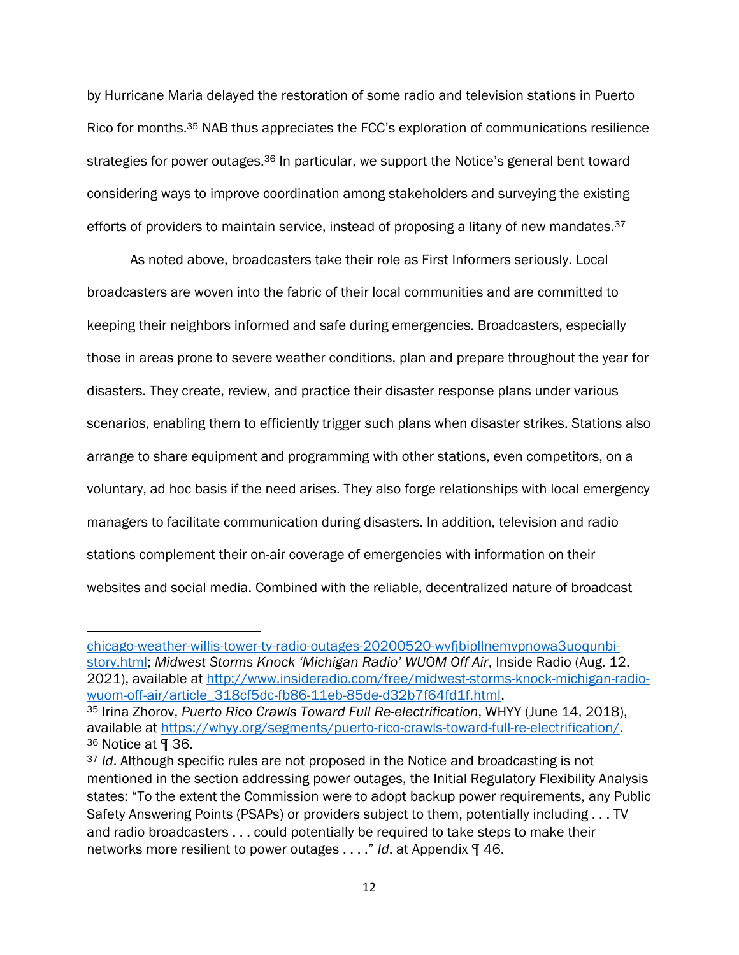by Hurricane Maria delayed the restoration of some radio and television stations in Puerto Rico for months.<sup>35</sup> NAB thus appreciates the FCC's exploration of communications resilience strategies for power outages.<sup>36</sup> In particular, we support the Notice's general bent toward considering ways to improve coordination among stakeholders and surveying the existing efforts of providers to maintain service, instead of proposing a litany of new mandates.<sup>37</sup>

As noted above, broadcasters take their role as First Informers seriously. Local broadcasters are woven into the fabric of their local communities and are committed to keeping their neighbors informed and safe during emergencies. Broadcasters, especially those in areas prone to severe weather conditions, plan and prepare throughout the year for disasters. They create, review, and practice their disaster response plans under various scenarios, enabling them to efficiently trigger such plans when disaster strikes. Stations also arrange to share equipment and programming with other stations, even competitors, on a voluntary, ad hoc basis if the need arises. They also forge relationships with local emergency managers to facilitate communication during disasters. In addition, television and radio stations complement their on-air coverage of emergencies with information on their websites and social media. Combined with the reliable, decentralized nature of broadcast

[chicago-weather-willis-tower-tv-radio-outages-20200520-wvfjbipllnemvpnowa3uoqunbi](https://www.chicagotribune.com/weather/ct-chicago-weather-willis-tower-tv-radio-outages-20200520-wvfjbipllnemvpnowa3uoqunbi-story.html)[story.html;](https://www.chicagotribune.com/weather/ct-chicago-weather-willis-tower-tv-radio-outages-20200520-wvfjbipllnemvpnowa3uoqunbi-story.html) *Midwest Storms Knock 'Michigan Radio' WUOM Off Air*, Inside Radio (Aug. 12, 2021), available at [http://www.insideradio.com/free/midwest-storms-knock-michigan-radio](http://www.insideradio.com/free/midwest-storms-knock-michigan-radio-wuom-off-air/article_318cf5dc-fb86-11eb-85de-d32b7f64fd1f.html)[wuom-off-air/article\\_318cf5dc-fb86-11eb-85de-d32b7f64fd1f.html.](http://www.insideradio.com/free/midwest-storms-knock-michigan-radio-wuom-off-air/article_318cf5dc-fb86-11eb-85de-d32b7f64fd1f.html)

<sup>35</sup> Irina Zhorov, *Puerto Rico Crawls Toward Full Re-electrification*, WHYY (June 14, 2018), available at [https://whyy.org/segments/puerto-rico-crawls-toward-full-re-electrification/.](https://whyy.org/segments/puerto-rico-crawls-toward-full-re-electrification/) <sup>36</sup> Notice at ¶ 36.

<sup>37</sup> *Id*. Although specific rules are not proposed in the Notice and broadcasting is not mentioned in the section addressing power outages, the Initial Regulatory Flexibility Analysis states: "To the extent the Commission were to adopt backup power requirements, any Public Safety Answering Points (PSAPs) or providers subject to them, potentially including . . . TV and radio broadcasters . . . could potentially be required to take steps to make their networks more resilient to power outages . . . ." *Id*. at Appendix ¶ 46.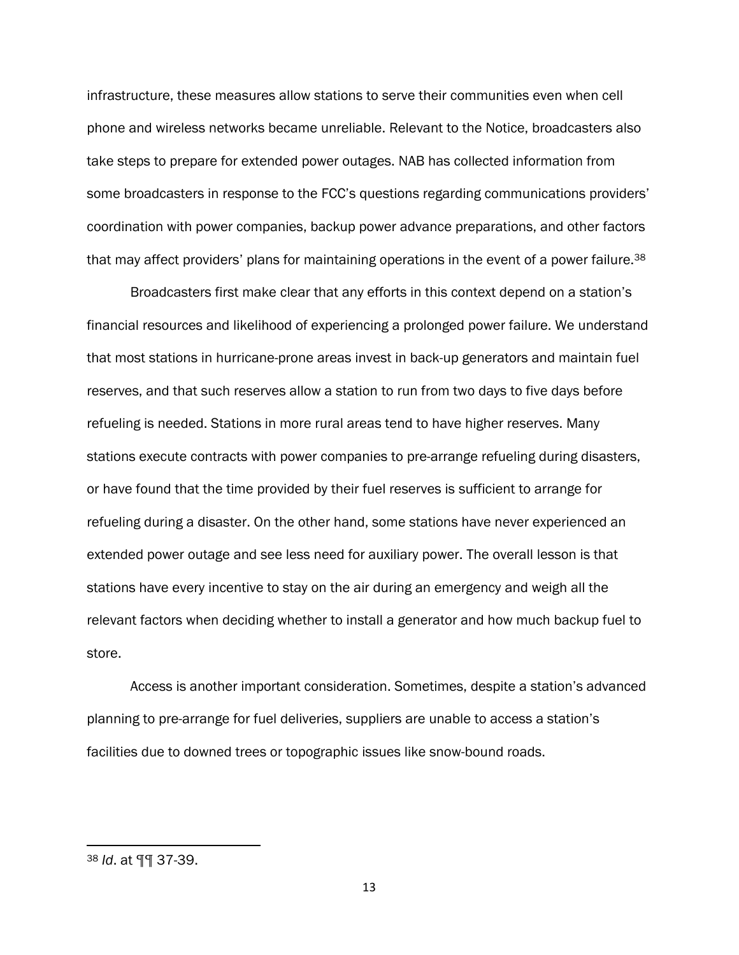infrastructure, these measures allow stations to serve their communities even when cell phone and wireless networks became unreliable. Relevant to the Notice, broadcasters also take steps to prepare for extended power outages. NAB has collected information from some broadcasters in response to the FCC's questions regarding communications providers' coordination with power companies, backup power advance preparations, and other factors that may affect providers' plans for maintaining operations in the event of a power failure.<sup>38</sup>

Broadcasters first make clear that any efforts in this context depend on a station's financial resources and likelihood of experiencing a prolonged power failure. We understand that most stations in hurricane-prone areas invest in back-up generators and maintain fuel reserves, and that such reserves allow a station to run from two days to five days before refueling is needed. Stations in more rural areas tend to have higher reserves. Many stations execute contracts with power companies to pre-arrange refueling during disasters, or have found that the time provided by their fuel reserves is sufficient to arrange for refueling during a disaster. On the other hand, some stations have never experienced an extended power outage and see less need for auxiliary power. The overall lesson is that stations have every incentive to stay on the air during an emergency and weigh all the relevant factors when deciding whether to install a generator and how much backup fuel to store.

Access is another important consideration. Sometimes, despite a station's advanced planning to pre-arrange for fuel deliveries, suppliers are unable to access a station's facilities due to downed trees or topographic issues like snow-bound roads.

<sup>38</sup> *Id*. at ¶¶ 37-39.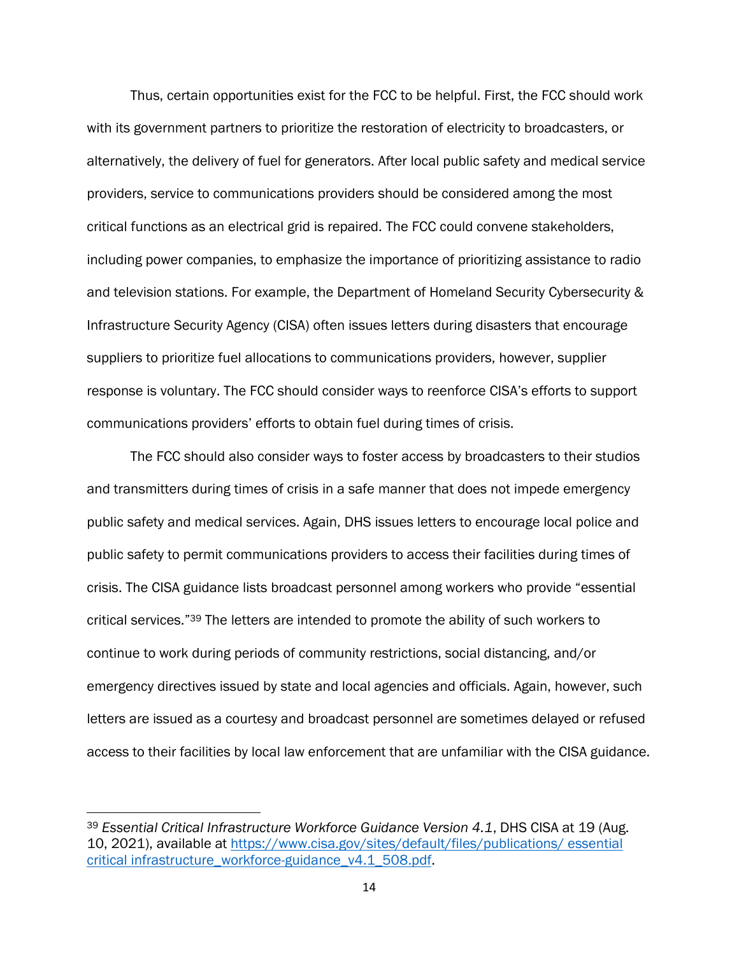Thus, certain opportunities exist for the FCC to be helpful. First, the FCC should work with its government partners to prioritize the restoration of electricity to broadcasters, or alternatively, the delivery of fuel for generators. After local public safety and medical service providers, service to communications providers should be considered among the most critical functions as an electrical grid is repaired. The FCC could convene stakeholders, including power companies, to emphasize the importance of prioritizing assistance to radio and television stations. For example, the Department of Homeland Security Cybersecurity & Infrastructure Security Agency (CISA) often issues letters during disasters that encourage suppliers to prioritize fuel allocations to communications providers, however, supplier response is voluntary. The FCC should consider ways to reenforce CISA's efforts to support communications providers' efforts to obtain fuel during times of crisis.

The FCC should also consider ways to foster access by broadcasters to their studios and transmitters during times of crisis in a safe manner that does not impede emergency public safety and medical services. Again, DHS issues letters to encourage local police and public safety to permit communications providers to access their facilities during times of crisis. The CISA guidance lists broadcast personnel among workers who provide "essential critical services." <sup>39</sup> The letters are intended to promote the ability of such workers to continue to work during periods of community restrictions, social distancing, and/or emergency directives issued by state and local agencies and officials. Again, however, such letters are issued as a courtesy and broadcast personnel are sometimes delayed or refused access to their facilities by local law enforcement that are unfamiliar with the CISA guidance.

<sup>39</sup> *Essential Critical Infrastructure Workforce Guidance Version 4.1*, DHS CISA at 19 (Aug. 10, 2021), available at [https://www.cisa.gov/sites/default/files/publications/ essential](https://www.cisa.gov/sites/default/files/publications/%20essential%20critical%20infrastructure_workforce-guidance_v4.1_508.pdf)  [critical infrastructure\\_workforce-guidance\\_v4.1\\_508.pdf.](https://www.cisa.gov/sites/default/files/publications/%20essential%20critical%20infrastructure_workforce-guidance_v4.1_508.pdf)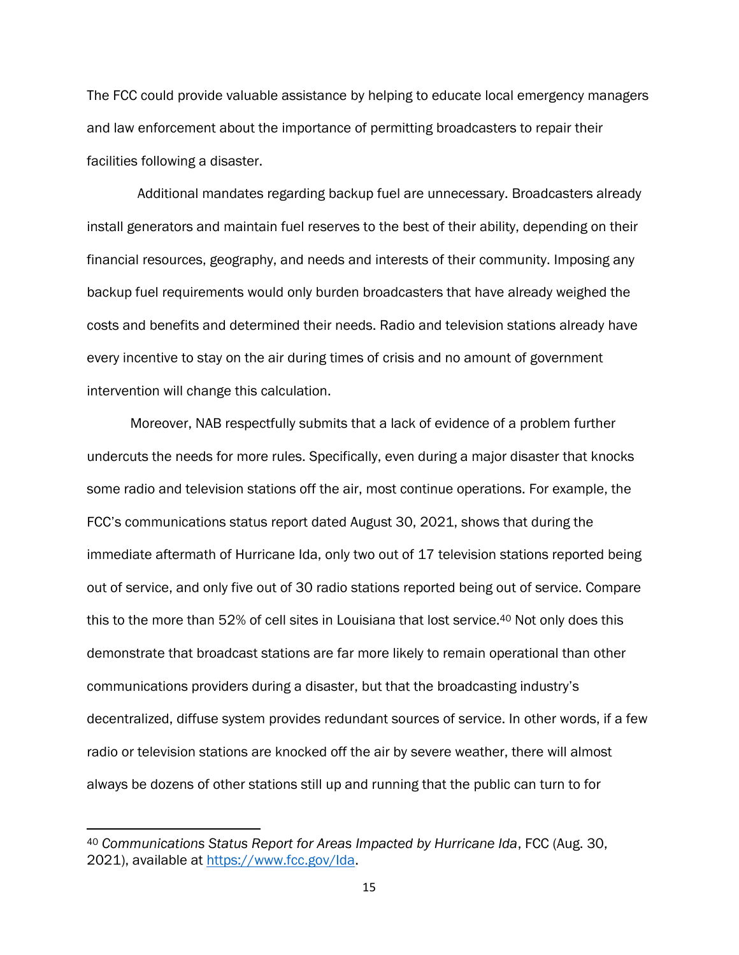The FCC could provide valuable assistance by helping to educate local emergency managers and law enforcement about the importance of permitting broadcasters to repair their facilities following a disaster.

Additional mandates regarding backup fuel are unnecessary. Broadcasters already install generators and maintain fuel reserves to the best of their ability, depending on their financial resources, geography, and needs and interests of their community. Imposing any backup fuel requirements would only burden broadcasters that have already weighed the costs and benefits and determined their needs. Radio and television stations already have every incentive to stay on the air during times of crisis and no amount of government intervention will change this calculation.

Moreover, NAB respectfully submits that a lack of evidence of a problem further undercuts the needs for more rules. Specifically, even during a major disaster that knocks some radio and television stations off the air, most continue operations. For example, the FCC's communications status report dated August 30, 2021, shows that during the immediate aftermath of Hurricane Ida, only two out of 17 television stations reported being out of service, and only five out of 30 radio stations reported being out of service. Compare this to the more than 52% of cell sites in Louisiana that lost service.<sup>40</sup> Not only does this demonstrate that broadcast stations are far more likely to remain operational than other communications providers during a disaster, but that the broadcasting industry's decentralized, diffuse system provides redundant sources of service. In other words, if a few radio or television stations are knocked off the air by severe weather, there will almost always be dozens of other stations still up and running that the public can turn to for

<sup>40</sup> *Communications Status Report for Areas Impacted by Hurricane Ida*, FCC (Aug. 30, 2021), available at [https://www.fcc.gov/Ida.](https://www.fcc.gov/Ida)